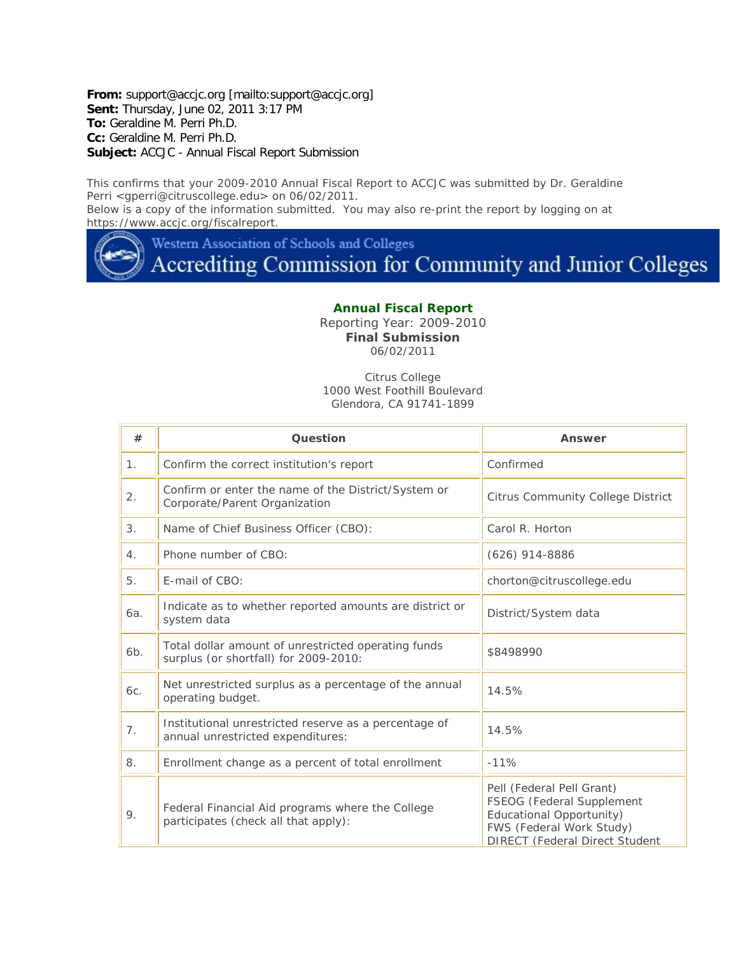**From:** support@accjc.org [mailto:support@accjc.org] **Sent:** Thursday, June 02, 2011 3:17 PM **To:** Geraldine M. Perri Ph.D. **Cc:** Geraldine M. Perri Ph.D. **Subject:** ACCJC - Annual Fiscal Report Submission

This confirms that your 2009-2010 Annual Fiscal Report to ACCJC was submitted by Dr. Geraldine Perri <gperri@citruscollege.edu> on 06/02/2011. Below is a copy of the information submitted. You may also re-print the report by logging on at

https://www.accjc.org/fiscalreport.

Western Association of Schools and Colleges

## Accrediting Commission for Community and Junior Colleges

## **Annual Fiscal Report**

Reporting Year: 2009-2010 **Final Submission** 06/02/2011

Citrus College 1000 West Foothill Boulevard Glendora, CA 91741-1899

| #              | <b>Question</b>                                                                              | Answer                                                                                                                                                  |
|----------------|----------------------------------------------------------------------------------------------|---------------------------------------------------------------------------------------------------------------------------------------------------------|
| 1 <sub>1</sub> | Confirm the correct institution's report                                                     | Confirmed                                                                                                                                               |
| 2.             | Confirm or enter the name of the District/System or<br>Corporate/Parent Organization         | <b>Citrus Community College District</b>                                                                                                                |
| 3.             | Name of Chief Business Officer (CBO):                                                        | Carol R. Horton                                                                                                                                         |
| 4.             | Phone number of CBO:                                                                         | $(626)$ 914-8886                                                                                                                                        |
| 5.             | E-mail of CBO:                                                                               | chorton@citruscollege.edu                                                                                                                               |
| 6a.            | Indicate as to whether reported amounts are district or<br>system data                       | District/System data                                                                                                                                    |
| 6b.            | Total dollar amount of unrestricted operating funds<br>surplus (or shortfall) for 2009-2010: | \$8498990                                                                                                                                               |
| 6c.            | Net unrestricted surplus as a percentage of the annual<br>operating budget.                  | 14.5%                                                                                                                                                   |
| 7.             | Institutional unrestricted reserve as a percentage of<br>annual unrestricted expenditures:   | 14.5%                                                                                                                                                   |
| 8.             | Enrollment change as a percent of total enrollment                                           | $-11%$                                                                                                                                                  |
| 9.             | Federal Financial Aid programs where the College<br>participates (check all that apply):     | Pell (Federal Pell Grant)<br>FSEOG (Federal Supplement<br>Educational Opportunity)<br>FWS (Federal Work Study)<br><b>DIRECT (Federal Direct Student</b> |